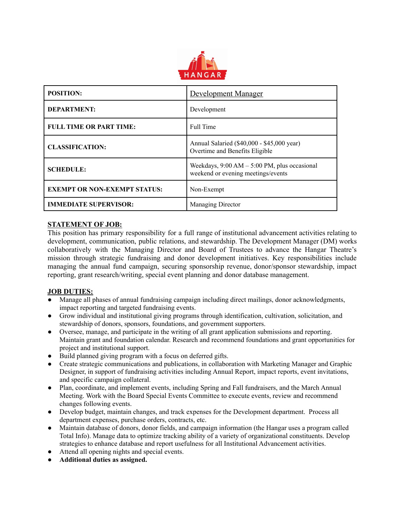

| <b>POSITION:</b>                    | Development Manager                                                                   |
|-------------------------------------|---------------------------------------------------------------------------------------|
| <b>DEPARTMENT:</b>                  | Development                                                                           |
| <b>FULL TIME OR PART TIME:</b>      | Full Time                                                                             |
| <b>CLASSIFICATION:</b>              | Annual Salaried (\$40,000 - \$45,000 year)<br>Overtime and Benefits Eligible          |
| <b>SCHEDULE:</b>                    | Weekdays, $9:00 AM - 5:00 PM$ , plus occasional<br>weekend or evening meetings/events |
| <b>EXEMPT OR NON-EXEMPT STATUS:</b> | Non-Exempt                                                                            |
| <b>IMMEDIATE SUPERVISOR:</b>        | Managing Director                                                                     |

## **STATEMENT OF JOB:**

This position has primary responsibility for a full range of institutional advancement activities relating to development, communication, public relations, and stewardship. The Development Manager (DM) works collaboratively with the Managing Director and Board of Trustees to advance the Hangar Theatre's mission through strategic fundraising and donor development initiatives. Key responsibilities include managing the annual fund campaign, securing sponsorship revenue, donor/sponsor stewardship, impact reporting, grant research/writing, special event planning and donor database management.

## **JOB DUTIES:**

- Manage all phases of annual fundraising campaign including direct mailings, donor acknowledgments, impact reporting and targeted fundraising events.
- Grow individual and institutional giving programs through identification, cultivation, solicitation, and stewardship of donors, sponsors, foundations, and government supporters.
- Oversee, manage, and participate in the writing of all grant application submissions and reporting. Maintain grant and foundation calendar. Research and recommend foundations and grant opportunities for project and institutional support.
- Build planned giving program with a focus on deferred gifts.
- Create strategic communications and publications, in collaboration with Marketing Manager and Graphic Designer, in support of fundraising activities including Annual Report, impact reports, event invitations, and specific campaign collateral.
- Plan, coordinate, and implement events, including Spring and Fall fundraisers, and the March Annual Meeting. Work with the Board Special Events Committee to execute events, review and recommend changes following events.
- Develop budget, maintain changes, and track expenses for the Development department. Process all department expenses, purchase orders, contracts, etc.
- Maintain database of donors, donor fields, and campaign information (the Hangar uses a program called Total Info). Manage data to optimize tracking ability of a variety of organizational constituents. Develop strategies to enhance database and report usefulness for all Institutional Advancement activities.
- Attend all opening nights and special events.
- **Additional duties as assigned.**